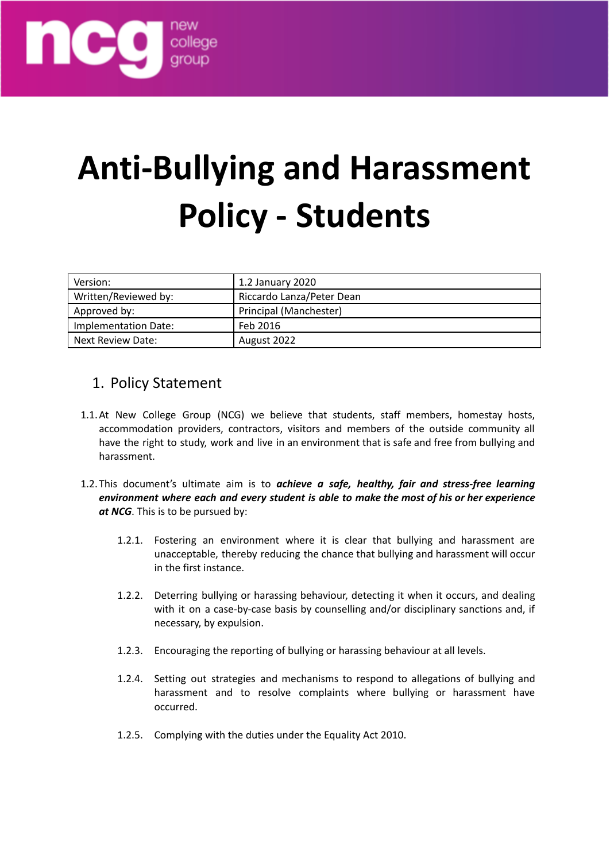

# **Anti-Bullying and Harassment Policy - Students**

| Version:             | 1.2 January 2020          |
|----------------------|---------------------------|
| Written/Reviewed by: | Riccardo Lanza/Peter Dean |
| Approved by:         | Principal (Manchester)    |
| Implementation Date: | Feb 2016                  |
| Next Review Date:    | August 2022               |

### 1. Policy Statement

- 1.1.At New College Group (NCG) we believe that students, staff members, homestay hosts, accommodation providers, contractors, visitors and members of the outside community all have the right to study, work and live in an environment that is safe and free from bullying and harassment.
- 1.2.This document's ultimate aim is to *achieve a safe, healthy, fair and stress-free learning environment where each and every student is able to make the most of his or her experience at NCG*. This is to be pursued by:
	- 1.2.1. Fostering an environment where it is clear that bullying and harassment are unacceptable, thereby reducing the chance that bullying and harassment will occur in the first instance.
	- 1.2.2. Deterring bullying or harassing behaviour, detecting it when it occurs, and dealing with it on a case-by-case basis by counselling and/or disciplinary sanctions and, if necessary, by expulsion.
	- 1.2.3. Encouraging the reporting of bullying or harassing behaviour at all levels.
	- 1.2.4. Setting out strategies and mechanisms to respond to allegations of bullying and harassment and to resolve complaints where bullying or harassment have occurred.
	- 1.2.5. Complying with the duties under the Equality Act 2010.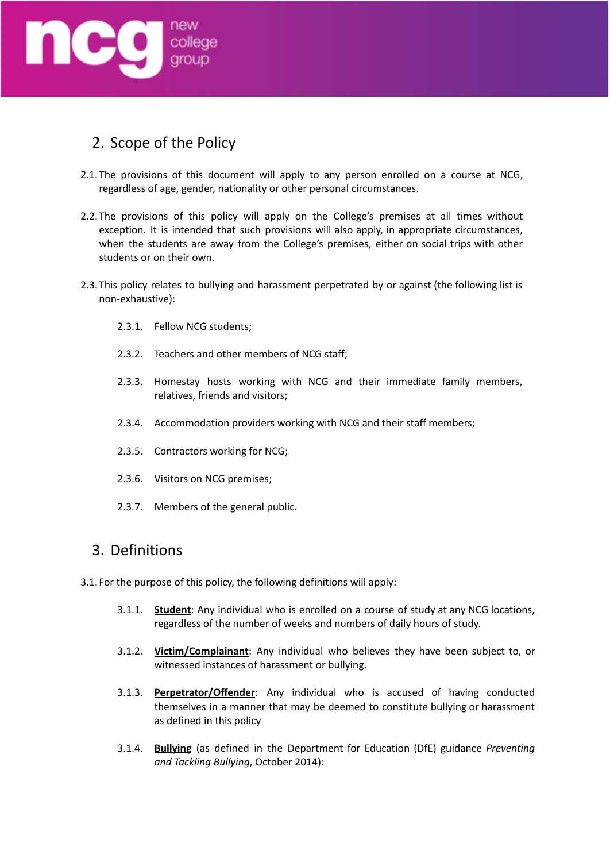

## 2. Scope of the Policy

- 2.1.The provisions of this document will apply to any person enrolled on a course at NCG, regardless of age, gender, nationality or other personal circumstances.
- 2.2.The provisions of this policy will apply on the College's premises at all times without exception. It is intended that such provisions will also apply, in appropriate circumstances, when the students are away from the College's premises, either on social trips with other students or on their own.
- 2.3.This policy relates to bullying and harassment perpetrated by or against (the following list is non-exhaustive):
	- 2.3.1. Fellow NCG students;
	- 2.3.2. Teachers and other members of NCG staff;
	- 2.3.3. Homestay hosts working with NCG and their immediate family members, relatives, friends and visitors;
	- 2.3.4. Accommodation providers working with NCG and their staff members;
	- 2.3.5. Contractors working for NCG;
	- 2.3.6. Visitors on NCG premises;
	- 2.3.7. Members of the general public.

#### 3. Definitions

3.1. For the purpose of this policy, the following definitions will apply:

- 3.1.1. **Student**: Any individual who is enrolled on a course of study at any NCG locations, regardless of the number of weeks and numbers of daily hours of study.
- 3.1.2. **Victim/Complainant**: Any individual who believes they have been subject to, or witnessed instances of harassment or bullying.
- 3.1.3. **Perpetrator/Offender**: Any individual who is accused of having conducted themselves in a manner that may be deemed to constitute bullying or harassment as defined in this policy
- 3.1.4. **Bullying** (as defined in the Department for Education (DfE) guidance *Preventing and Tackling Bullying*, October 2014):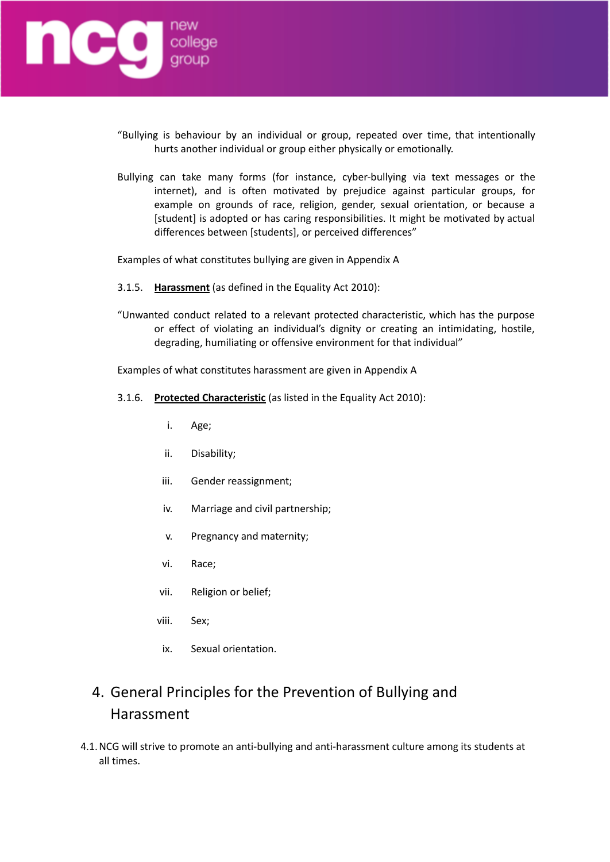

- "Bullying is behaviour by an individual or group, repeated over time, that intentionally hurts another individual or group either physically or emotionally.
- Bullying can take many forms (for instance, cyber-bullying via text messages or the internet), and is often motivated by prejudice against particular groups, for example on grounds of race, religion, gender, sexual orientation, or because a [student] is adopted or has caring responsibilities. It might be motivated by actual differences between [students], or perceived differences"

Examples of what constitutes bullying are given in Appendix A

- 3.1.5. **Harassment** (as defined in the Equality Act 2010):
- "Unwanted conduct related to a relevant protected characteristic, which has the purpose or effect of violating an individual's dignity or creating an intimidating, hostile, degrading, humiliating or offensive environment for that individual"

Examples of what constitutes harassment are given in Appendix A

- 3.1.6. **Protected Characteristic** (as listed in the Equality Act 2010):
	- i. Age;
	- ii. Disability;
	- iii. Gender reassignment;
	- iv. Marriage and civil partnership;
	- v. Pregnancy and maternity;
	- vi. Race;
	- vii. Religion or belief;
	- viii. Sex;
	- ix. Sexual orientation.

## 4. General Principles for the Prevention of Bullying and Harassment

4.1.NCG will strive to promote an anti-bullying and anti-harassment culture among its students at all times.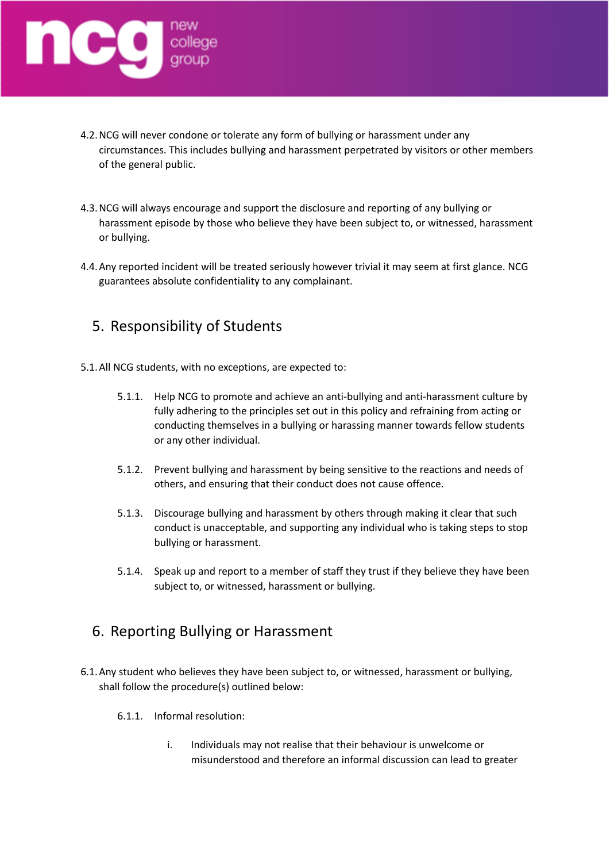

- 4.2.NCG will never condone or tolerate any form of bullying or harassment under any circumstances. This includes bullying and harassment perpetrated by visitors or other members of the general public.
- 4.3.NCG will always encourage and support the disclosure and reporting of any bullying or harassment episode by those who believe they have been subject to, or witnessed, harassment or bullying.
- 4.4.Any reported incident will be treated seriously however trivial it may seem at first glance. NCG guarantees absolute confidentiality to any complainant.

## 5. Responsibility of Students

- 5.1.All NCG students, with no exceptions, are expected to:
	- 5.1.1. Help NCG to promote and achieve an anti-bullying and anti-harassment culture by fully adhering to the principles set out in this policy and refraining from acting or conducting themselves in a bullying or harassing manner towards fellow students or any other individual.
	- 5.1.2. Prevent bullying and harassment by being sensitive to the reactions and needs of others, and ensuring that their conduct does not cause offence.
	- 5.1.3. Discourage bullying and harassment by others through making it clear that such conduct is unacceptable, and supporting any individual who is taking steps to stop bullying or harassment.
	- 5.1.4. Speak up and report to a member of staff they trust if they believe they have been subject to, or witnessed, harassment or bullying.

## 6. Reporting Bullying or Harassment

- 6.1.Any student who believes they have been subject to, or witnessed, harassment or bullying, shall follow the procedure(s) outlined below:
	- 6.1.1. Informal resolution:
		- i. Individuals may not realise that their behaviour is unwelcome or misunderstood and therefore an informal discussion can lead to greater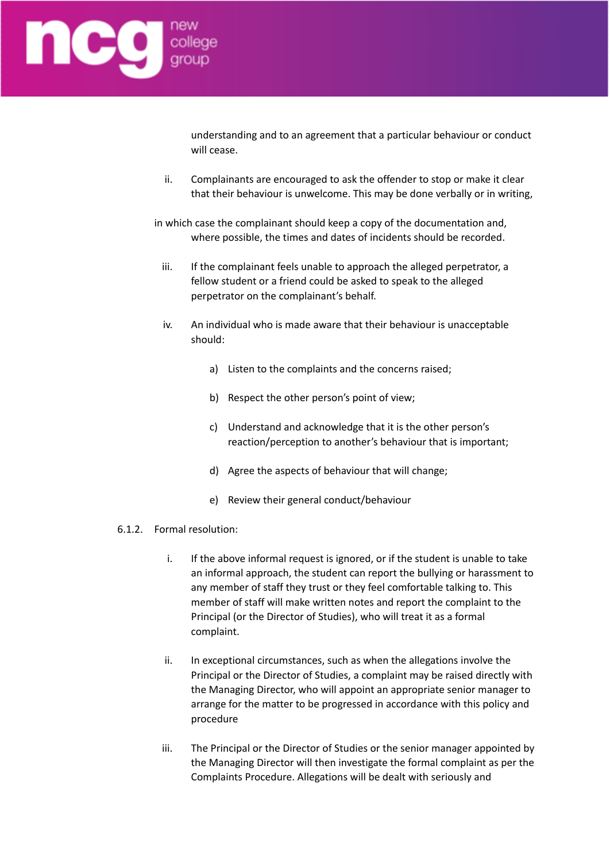

understanding and to an agreement that a particular behaviour or conduct will cease.

- ii. Complainants are encouraged to ask the offender to stop or make it clear that their behaviour is unwelcome. This may be done verbally or in writing,
- in which case the complainant should keep a copy of the documentation and, where possible, the times and dates of incidents should be recorded.
	- iii. If the complainant feels unable to approach the alleged perpetrator, a fellow student or a friend could be asked to speak to the alleged perpetrator on the complainant's behalf.
	- iv. An individual who is made aware that their behaviour is unacceptable should:
		- a) Listen to the complaints and the concerns raised;
		- b) Respect the other person's point of view;
		- c) Understand and acknowledge that it is the other person's reaction/perception to another's behaviour that is important;
		- d) Agree the aspects of behaviour that will change;
		- e) Review their general conduct/behaviour
- 6.1.2. Formal resolution:
	- i. If the above informal request is ignored, or if the student is unable to take an informal approach, the student can report the bullying or harassment to any member of staff they trust or they feel comfortable talking to. This member of staff will make written notes and report the complaint to the Principal (or the Director of Studies), who will treat it as a formal complaint.
	- ii. In exceptional circumstances, such as when the allegations involve the Principal or the Director of Studies, a complaint may be raised directly with the Managing Director, who will appoint an appropriate senior manager to arrange for the matter to be progressed in accordance with this policy and procedure
	- iii. The Principal or the Director of Studies or the senior manager appointed by the Managing Director will then investigate the formal complaint as per the Complaints Procedure. Allegations will be dealt with seriously and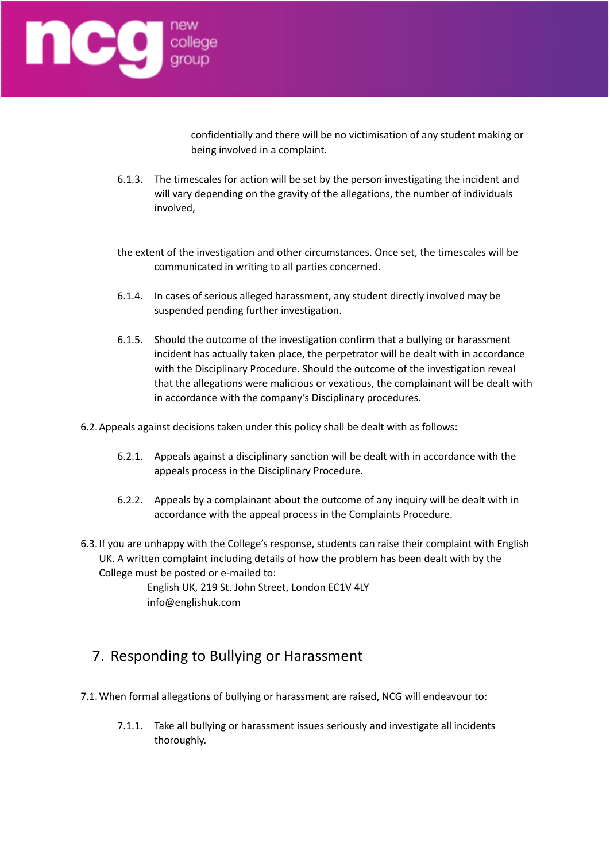

confidentially and there will be no victimisation of any student making or being involved in a complaint.

- 6.1.3. The timescales for action will be set by the person investigating the incident and will vary depending on the gravity of the allegations, the number of individuals involved,
- the extent of the investigation and other circumstances. Once set, the timescales will be communicated in writing to all parties concerned.
- 6.1.4. In cases of serious alleged harassment, any student directly involved may be suspended pending further investigation.
- 6.1.5. Should the outcome of the investigation confirm that a bullying or harassment incident has actually taken place, the perpetrator will be dealt with in accordance with the Disciplinary Procedure. Should the outcome of the investigation reveal that the allegations were malicious or vexatious, the complainant will be dealt with in accordance with the company's Disciplinary procedures.

6.2.Appeals against decisions taken under this policy shall be dealt with as follows:

- 6.2.1. Appeals against a disciplinary sanction will be dealt with in accordance with the appeals process in the Disciplinary Procedure.
- 6.2.2. Appeals by a complainant about the outcome of any inquiry will be dealt with in accordance with the appeal process in the Complaints Procedure.
- 6.3.If you are unhappy with the College's response, students can raise their complaint with English UK. A written complaint including details of how the problem has been dealt with by the College must be posted or e-mailed to:

English UK, 219 St. John Street, London EC1V 4LY info@englishuk.com

## 7. Responding to Bullying or Harassment

- 7.1.When formal allegations of bullying or harassment are raised, NCG will endeavour to:
	- 7.1.1. Take all bullying or harassment issues seriously and investigate all incidents thoroughly.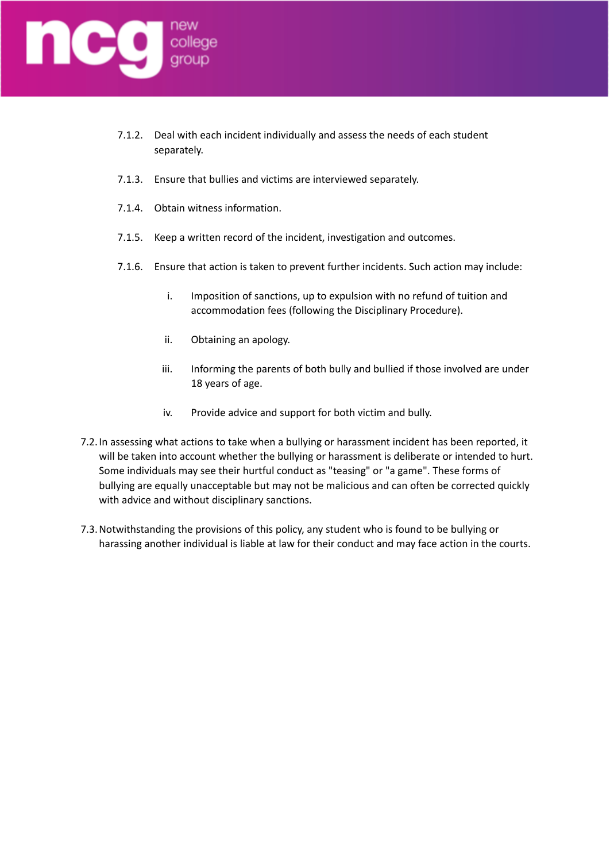

- 7.1.2. Deal with each incident individually and assess the needs of each student separately.
- 7.1.3. Ensure that bullies and victims are interviewed separately.
- 7.1.4. Obtain witness information.
- 7.1.5. Keep a written record of the incident, investigation and outcomes.
- 7.1.6. Ensure that action is taken to prevent further incidents. Such action may include:
	- i. Imposition of sanctions, up to expulsion with no refund of tuition and accommodation fees (following the Disciplinary Procedure).
	- ii. Obtaining an apology.
	- iii. Informing the parents of both bully and bullied if those involved are under 18 years of age.
	- iv. Provide advice and support for both victim and bully.
- 7.2.In assessing what actions to take when a bullying or harassment incident has been reported, it will be taken into account whether the bullying or harassment is deliberate or intended to hurt. Some individuals may see their hurtful conduct as "teasing" or "a game". These forms of bullying are equally unacceptable but may not be malicious and can often be corrected quickly with advice and without disciplinary sanctions.
- 7.3.Notwithstanding the provisions of this policy, any student who is found to be bullying or harassing another individual is liable at law for their conduct and may face action in the courts.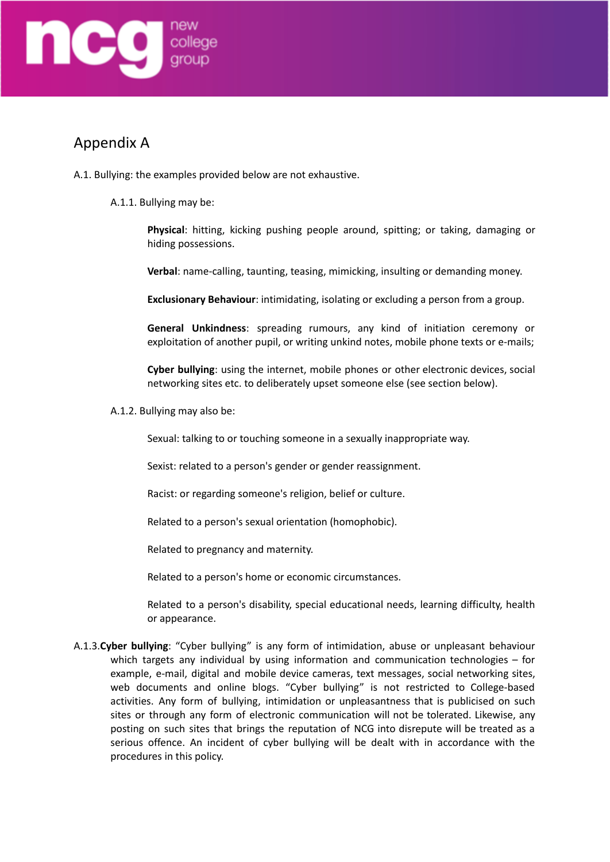

## Appendix A

- A.1. Bullying: the examples provided below are not exhaustive.
	- A.1.1. Bullying may be:

**Physical**: hitting, kicking pushing people around, spitting; or taking, damaging or hiding possessions.

**Verbal**: name-calling, taunting, teasing, mimicking, insulting or demanding money.

**Exclusionary Behaviour**: intimidating, isolating or excluding a person from a group.

**General Unkindness**: spreading rumours, any kind of initiation ceremony or exploitation of another pupil, or writing unkind notes, mobile phone texts or e-mails;

**Cyber bullying**: using the internet, mobile phones or other electronic devices, social networking sites etc. to deliberately upset someone else (see section below).

A.1.2. Bullying may also be:

Sexual: talking to or touching someone in a sexually inappropriate way.

Sexist: related to a person's gender or gender reassignment.

Racist: or regarding someone's religion, belief or culture.

Related to a person's sexual orientation (homophobic).

Related to pregnancy and maternity.

Related to a person's home or economic circumstances.

Related to a person's disability, special educational needs, learning difficulty, health or appearance.

A.1.3.**Cyber bullying**: "Cyber bullying" is any form of intimidation, abuse or unpleasant behaviour which targets any individual by using information and communication technologies – for example, e-mail, digital and mobile device cameras, text messages, social networking sites, web documents and online blogs. "Cyber bullying" is not restricted to College-based activities. Any form of bullying, intimidation or unpleasantness that is publicised on such sites or through any form of electronic communication will not be tolerated. Likewise, any posting on such sites that brings the reputation of NCG into disrepute will be treated as a serious offence. An incident of cyber bullying will be dealt with in accordance with the procedures in this policy.